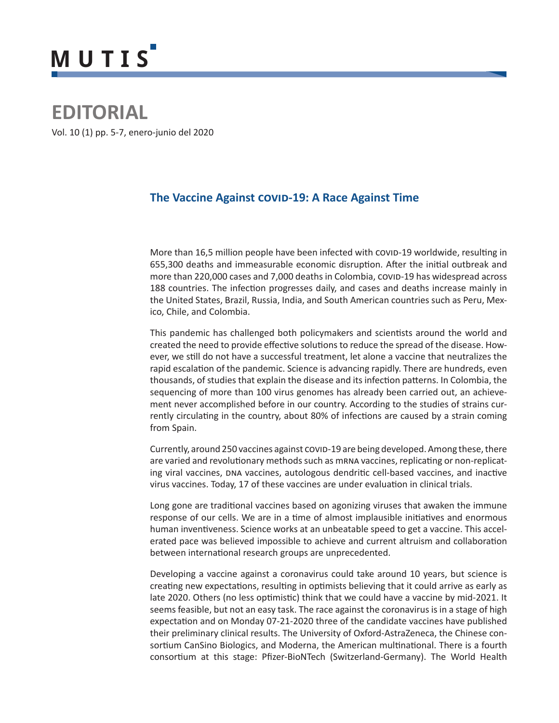# **MUTIS**

## **EDITORIAL**

Vol. 10 (1) pp. 5-7, enero-junio del 2020

### **The Vaccine Against COVID-19: A Race Against Time**

More than 16,5 million people have been infected with covid-19 worldwide, resulting in 655,300 deaths and immeasurable economic disruption. After the initial outbreak and more than 220,000 cases and 7,000 deaths in Colombia, covip-19 has widespread across 188 countries. The infection progresses daily, and cases and deaths increase mainly in the United States, Brazil, Russia, India, and South American countries such as Peru, Mexico, Chile, and Colombia.

This pandemic has challenged both policymakers and scientists around the world and created the need to provide effective solutions to reduce the spread of the disease. However, we still do not have a successful treatment, let alone a vaccine that neutralizes the rapid escalation of the pandemic. Science is advancing rapidly. There are hundreds, even thousands, of studies that explain the disease and its infection patterns. In Colombia, the sequencing of more than 100 virus genomes has already been carried out, an achievement never accomplished before in our country. According to the studies of strains currently circulating in the country, about 80% of infections are caused by a strain coming from Spain.

Currently, around 250 vaccines against COVID-19 are being developed. Among these, there are varied and revolutionary methods such as mrna vaccines, replicating or non-replicating viral vaccines, DNA vaccines, autologous dendritic cell-based vaccines, and inactive virus vaccines. Today, 17 of these vaccines are under evaluation in clinical trials.

Long gone are traditional vaccines based on agonizing viruses that awaken the immune response of our cells. We are in a time of almost implausible initiatives and enormous human inventiveness. Science works at an unbeatable speed to get a vaccine. This accelerated pace was believed impossible to achieve and current altruism and collaboration between international research groups are unprecedented.

Developing a vaccine against a coronavirus could take around 10 years, but science is creating new expectations, resulting in optimists believing that it could arrive as early as late 2020. Others (no less optimistic) think that we could have a vaccine by mid-2021. It seems feasible, but not an easy task. The race against the coronavirus is in a stage of high expectation and on Monday 07-21-2020 three of the candidate vaccines have published their preliminary clinical results. The University of Oxford-AstraZeneca, the Chinese consortium CanSino Biologics, and Moderna, the American multinational. There is a fourth consortium at this stage: Pfizer-BioNTech (Switzerland-Germany). The World Health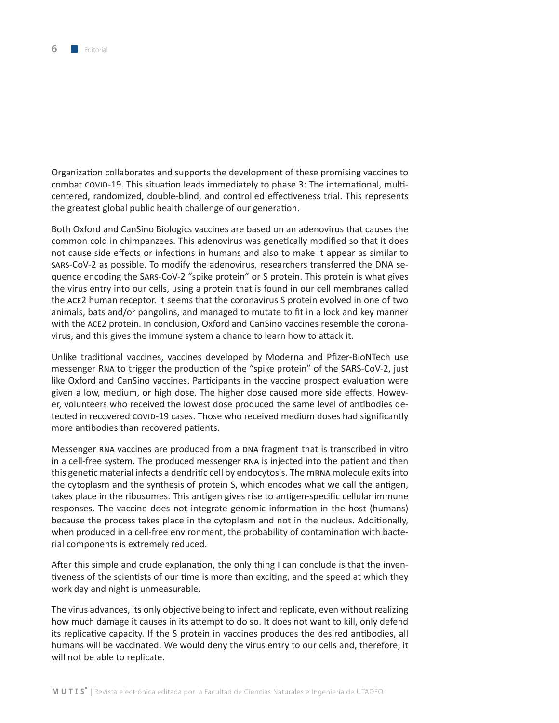Organization collaborates and supports the development of these promising vaccines to combat COVID-19. This situation leads immediately to phase 3: The international, multicentered, randomized, double-blind, and controlled effectiveness trial. This represents the greatest global public health challenge of our generation.

Both Oxford and CanSino Biologics vaccines are based on an adenovirus that causes the common cold in chimpanzees. This adenovirus was genetically modified so that it does not cause side effects or infections in humans and also to make it appear as similar to sars-CoV-2 as possible. To modify the adenovirus, researchers transferred the DNA sequence encoding the Sars-CoV-2 "spike protein" or S protein. This protein is what gives the virus entry into our cells, using a protein that is found in our cell membranes called the ace2 human receptor. It seems that the coronavirus S protein evolved in one of two animals, bats and/or pangolins, and managed to mutate to fit in a lock and key manner with the ace2 protein. In conclusion, Oxford and CanSino vaccines resemble the coronavirus, and this gives the immune system a chance to learn how to attack it.

Unlike traditional vaccines, vaccines developed by Moderna and Pfizer-BioNTech use messenger Rna to trigger the production of the "spike protein" of the SARS-CoV-2, just like Oxford and CanSino vaccines. Participants in the vaccine prospect evaluation were given a low, medium, or high dose. The higher dose caused more side effects. However, volunteers who received the lowest dose produced the same level of antibodies detected in recovered covid-19 cases. Those who received medium doses had significantly more antibodies than recovered patients.

Messenger RNA vaccines are produced from a DNA fragment that is transcribed in vitro in a cell-free system. The produced messenger rna is injected into the patient and then this genetic material infects a dendritic cell by endocytosis. The mrna molecule exits into the cytoplasm and the synthesis of protein S, which encodes what we call the antigen, takes place in the ribosomes. This antigen gives rise to antigen-specific cellular immune responses. The vaccine does not integrate genomic information in the host (humans) because the process takes place in the cytoplasm and not in the nucleus. Additionally, when produced in a cell-free environment, the probability of contamination with bacterial components is extremely reduced.

After this simple and crude explanation, the only thing I can conclude is that the inventiveness of the scientists of our time is more than exciting, and the speed at which they work day and night is unmeasurable.

The virus advances, its only objective being to infect and replicate, even without realizing how much damage it causes in its attempt to do so. It does not want to kill, only defend its replicative capacity. If the S protein in vaccines produces the desired antibodies, all humans will be vaccinated. We would deny the virus entry to our cells and, therefore, it will not be able to replicate.